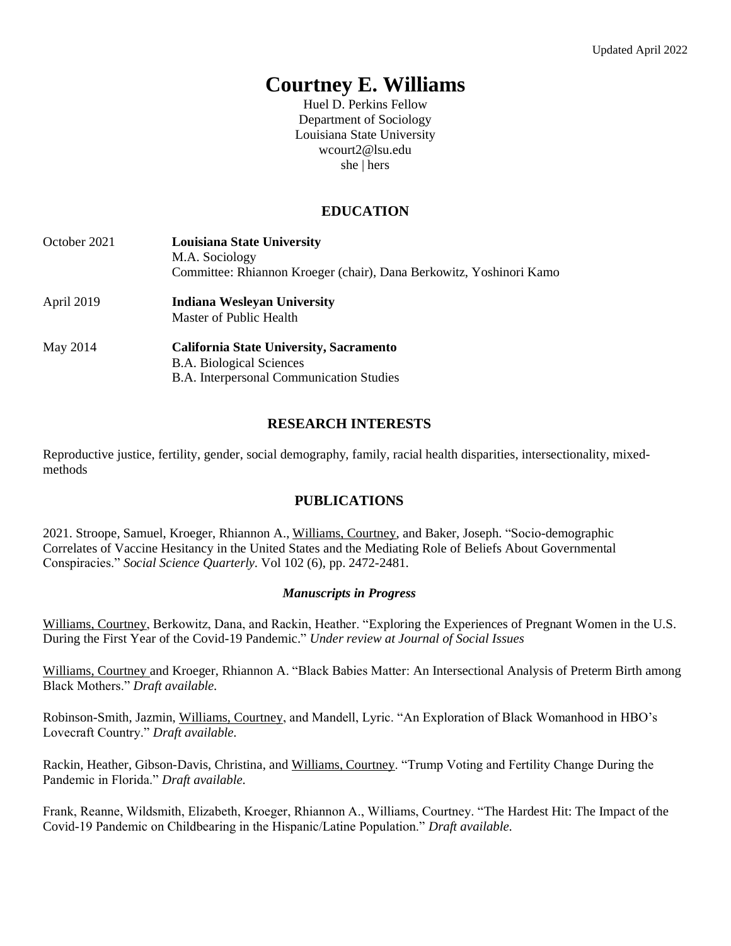# **Courtney E. Williams**

Huel D. Perkins Fellow Department of Sociology Louisiana State University [wcourt2@lsu.edu](mailto:wcourt2@lsu.edu) she | hers

# **EDUCATION**

| October 2021 | <b>Louisiana State University</b><br>M.A. Sociology<br>Committee: Rhiannon Kroeger (chair), Dana Berkowitz, Yoshinori Kamo |
|--------------|----------------------------------------------------------------------------------------------------------------------------|
| April 2019   | <b>Indiana Wesleyan University</b><br>Master of Public Health                                                              |
| May 2014     | California State University, Sacramento<br><b>B.A. Biological Sciences</b><br>B.A. Interpersonal Communication Studies     |

# **RESEARCH INTERESTS**

Reproductive justice, fertility, gender, social demography, family, racial health disparities, intersectionality, mixedmethods

# **PUBLICATIONS**

2021. Stroope, Samuel, Kroeger, Rhiannon A., Williams, Courtney, and Baker, Joseph. "Socio-demographic Correlates of Vaccine Hesitancy in the United States and the Mediating Role of Beliefs About Governmental Conspiracies." *Social Science Quarterly.* Vol 102 (6), pp. 2472-2481.

#### *Manuscripts in Progress*

Williams, Courtney, Berkowitz, Dana, and Rackin, Heather. "Exploring the Experiences of Pregnant Women in the U.S. During the First Year of the Covid-19 Pandemic." *Under review at Journal of Social Issues* 

Williams, Courtney and Kroeger, Rhiannon A. "Black Babies Matter: An Intersectional Analysis of Preterm Birth among Black Mothers." *Draft available.*

Robinson-Smith, Jazmin, Williams, Courtney, and Mandell, Lyric. "An Exploration of Black Womanhood in HBO's Lovecraft Country." *Draft available.*

Rackin, Heather, Gibson-Davis, Christina, and Williams, Courtney. "Trump Voting and Fertility Change During the Pandemic in Florida." *Draft available.* 

Frank, Reanne, Wildsmith, Elizabeth, Kroeger, Rhiannon A., Williams, Courtney. "The Hardest Hit: The Impact of the Covid-19 Pandemic on Childbearing in the Hispanic/Latine Population." *Draft available.*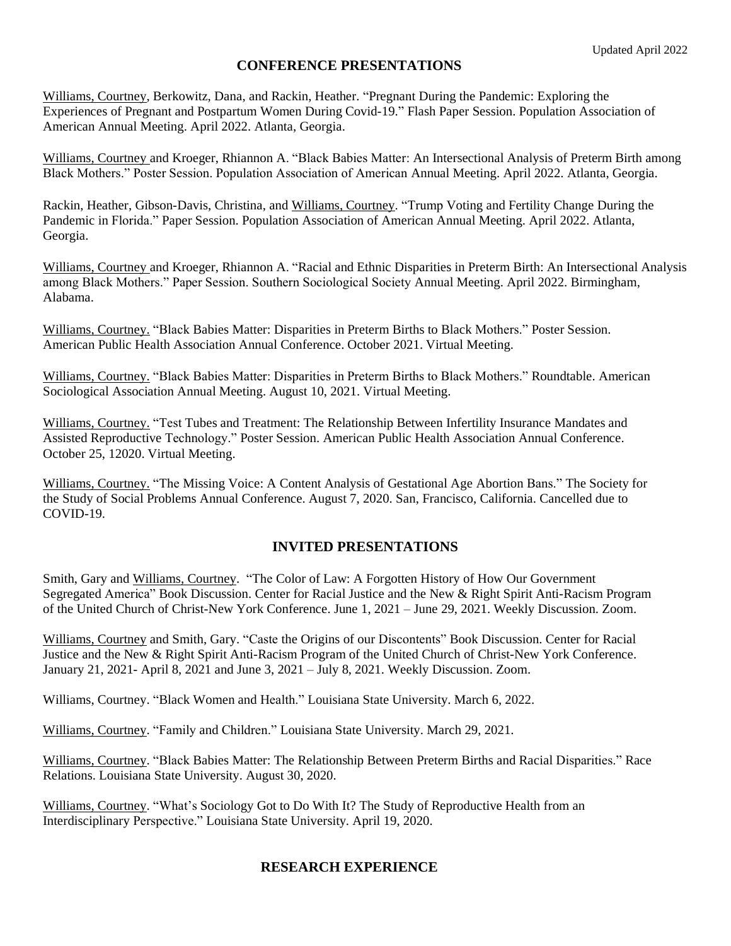## **CONFERENCE PRESENTATIONS**

Williams, Courtney, Berkowitz, Dana, and Rackin, Heather. "Pregnant During the Pandemic: Exploring the Experiences of Pregnant and Postpartum Women During Covid-19." Flash Paper Session. Population Association of American Annual Meeting. April 2022. Atlanta, Georgia.

Williams, Courtney and Kroeger, Rhiannon A. "Black Babies Matter: An Intersectional Analysis of Preterm Birth among Black Mothers." Poster Session. Population Association of American Annual Meeting. April 2022. Atlanta, Georgia.

Rackin, Heather, Gibson-Davis, Christina, and Williams, Courtney. "Trump Voting and Fertility Change During the Pandemic in Florida." Paper Session. Population Association of American Annual Meeting. April 2022. Atlanta, Georgia.

Williams, Courtney and Kroeger, Rhiannon A. "Racial and Ethnic Disparities in Preterm Birth: An Intersectional Analysis among Black Mothers." Paper Session. Southern Sociological Society Annual Meeting. April 2022. Birmingham, Alabama.

Williams, Courtney. "Black Babies Matter: Disparities in Preterm Births to Black Mothers." Poster Session. American Public Health Association Annual Conference. October 2021. Virtual Meeting.

Williams, Courtney. "Black Babies Matter: Disparities in Preterm Births to Black Mothers." Roundtable. American Sociological Association Annual Meeting. August 10, 2021. Virtual Meeting.

Williams, Courtney. "Test Tubes and Treatment: The Relationship Between Infertility Insurance Mandates and Assisted Reproductive Technology." Poster Session. American Public Health Association Annual Conference. October 25, 12020. Virtual Meeting.

Williams, Courtney. "The Missing Voice: A Content Analysis of Gestational Age Abortion Bans." The Society for the Study of Social Problems Annual Conference. August 7, 2020. San, Francisco, California. Cancelled due to COVID-19.

#### **INVITED PRESENTATIONS**

Smith, Gary and Williams, Courtney. "The Color of Law: A Forgotten History of How Our Government Segregated America" Book Discussion. Center for Racial Justice and the New & Right Spirit Anti-Racism Program of the United Church of Christ-New York Conference. June 1, 2021 – June 29, 2021. Weekly Discussion. Zoom.

Williams, Courtney and Smith, Gary. "Caste the Origins of our Discontents" Book Discussion. Center for Racial Justice and the New & Right Spirit Anti-Racism Program of the United Church of Christ-New York Conference. January 21, 2021- April 8, 2021 and June 3, 2021 – July 8, 2021. Weekly Discussion. Zoom.

Williams, Courtney. "Black Women and Health." Louisiana State University. March 6, 2022.

Williams, Courtney. "Family and Children." Louisiana State University. March 29, 2021.

Williams, Courtney. "Black Babies Matter: The Relationship Between Preterm Births and Racial Disparities." Race Relations. Louisiana State University. August 30, 2020.

Williams, Courtney. "What's Sociology Got to Do With It? The Study of Reproductive Health from an Interdisciplinary Perspective." Louisiana State University. April 19, 2020.

## **RESEARCH EXPERIENCE**